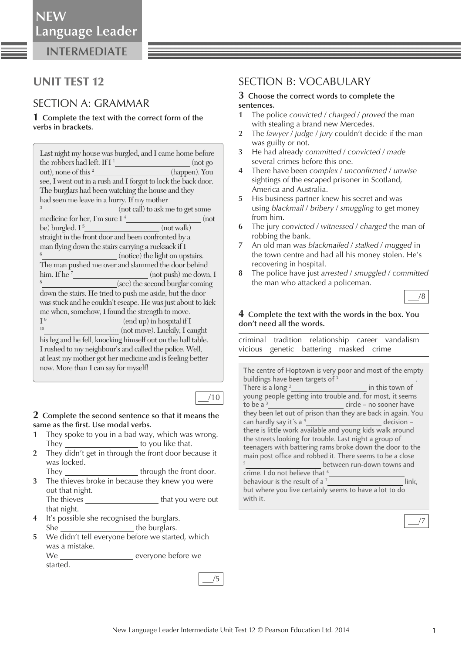**INTERMEDIATE**

# UNIT TEST 12

## SECTION A: GRAMMAR

**1 Complete the text with the correct form of the verbs in brackets.** 

| Last night my house was burgled, and I came home before       |  |  |
|---------------------------------------------------------------|--|--|
| the robbers had left. If $I1$<br>(not go)                     |  |  |
| out), none of this <sup>2</sup><br>(happen). You              |  |  |
|                                                               |  |  |
| see, I went out in a rush and I forgot to lock the back door. |  |  |
| The burglars had been watching the house and they             |  |  |
| had seen me leave in a hurry. If my mother                    |  |  |
| 3<br>(not call) to ask me to get some                         |  |  |
| (not                                                          |  |  |
| be) burgled. $I^5$<br>(not walk)                              |  |  |
| straight in the front door and been confronted by a           |  |  |
| man flying down the stairs carrying a rucksack if I           |  |  |
| 6<br>(notice) the light on upstairs.                          |  |  |
| The man pushed me over and slammed the door behind            |  |  |
| him. If he $7$<br>(not push) me down, I                       |  |  |
| 8<br>(see) the second burglar coming                          |  |  |
| down the stairs. He tried to push me aside, but the door      |  |  |
| was stuck and he couldn't escape. He was just about to kick   |  |  |
| me when, somehow, I found the strength to move.               |  |  |
| I <sup>9</sup><br>(end up) in hospital if I                   |  |  |
| 10<br>(not move). Luckily, I caught                           |  |  |
| his leg and he fell, knocking himself out on the hall table.  |  |  |
| I rushed to my neighbour's and called the police. Well,       |  |  |
| at least my mother got her medicine and is feeling better     |  |  |
| now. More than I can say for myself!                          |  |  |
|                                                               |  |  |

### **2 Complete the second sentence so that it means the**  same as the first. Use modal verbs.

- **1** They spoke to you in a bad way, which was wrong. They \_\_\_\_\_\_\_\_\_\_\_\_\_\_\_\_\_\_\_\_\_\_\_\_to you like that.
- **2** They didn't get in through the front door because it was locked.
	- They through the front door.
- **3** The thieves broke in because they knew you were out that night. The thieves that you were out that night.
- **4** It's possible she recognised the burglars. She the burglars.
- **5** We didn't tell everyone before we started, which was a mistake. We everyone before we

started.

## SECTION B: VOCABULARY

#### **3 Choose the correct words to complete the sentences.**

- **1** The police *convicted* / *charged* / *proved* the man with stealing a brand new Mercedes.
- **2** The *lawyer* / *judge* / *jury* couldn't decide if the man was guilty or not.
- **3** He had already *committed* / *convicted* / *made* several crimes before this one.
- **4** There have been *complex* / *unconfi rmed* / *unwise* sightings of the escaped prisoner in Scotland, America and Australia.
- **5** His business partner knew his secret and was using *blackmail* / *bribery* / *smuggling* to get money from him.
- **6** The jury *convicted* / *witnessed* / *charged* the man of robbing the bank.
- **7** An old man was *blackmailed* / *stalked* / *mugged* in the town centre and had all his money stolen. He's recovering in hospital.
- **8** The police have just *arrested* / *smuggled* / *committed* the man who attacked a policeman.

/8

#### **4 Complete the text with the words in the box. You don't need all the words.**

 criminal tradition relationship career vandalism vicious genetic battering masked crime

| The centre of Hoptown is very poor and most of the empty     |                            |  |
|--------------------------------------------------------------|----------------------------|--|
| buildings have been targets of 1                             |                            |  |
| There is a long $2$                                          | in this town of            |  |
| young people getting into trouble and, for most, it seems    |                            |  |
| to be a $3$                                                  | circle - no sooner have    |  |
| they been let out of prison than they are back in again. You |                            |  |
| can hardly say it's a <sup>4</sup>                           | decision -                 |  |
| there is little work available and young kids walk around    |                            |  |
| the streets looking for trouble. Last night a group of       |                            |  |
| teenagers with battering rams broke down the door to the     |                            |  |
| main post office and robbed it. There seems to be a close    |                            |  |
| 5                                                            | between run-down towns and |  |
| crime. I do not believe that <sup>6</sup>                    |                            |  |
| behaviour is the result of a <sup>7</sup>                    | link.                      |  |
| but where you live certainly seems to have a lot to do       |                            |  |
| with it.                                                     |                            |  |

/5

/10